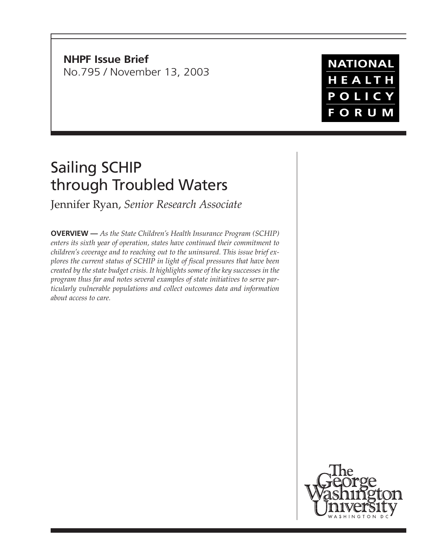**NHPF Issue Brief** No.795 / November 13, 2003

# Sailing SCHIP through Troubled Waters

Jennifer Ryan, *Senior Research Associate*

**OVERVIEW —** *As the State Children's Health Insurance Program (SCHIP) enters its sixth year of operation, states have continued their commitment to children's coverage and to reaching out to the uninsured. This issue brief explores the current status of SCHIP in light of fiscal pressures that have been created by the state budget crisis. It highlights some of the key successes in the program thus far and notes several examples of state initiatives to serve particularly vulnerable populations and collect outcomes data and information about access to care.*





**NATIONAL** HEALTH POLICY **FORUM**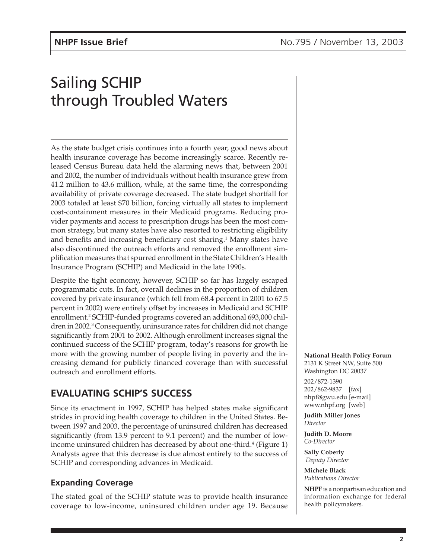# Sailing SCHIP through Troubled Waters

As the state budget crisis continues into a fourth year, good news about health insurance coverage has become increasingly scarce. Recently released Census Bureau data held the alarming news that, between 2001 and 2002, the number of individuals without health insurance grew from 41.2 million to 43.6 million, while, at the same time, the corresponding availability of private coverage decreased. The state budget shortfall for 2003 totaled at least \$70 billion, forcing virtually all states to implement cost-containment measures in their Medicaid programs. Reducing provider payments and access to prescription drugs has been the most common strategy, but many states have also resorted to restricting eligibility and benefits and increasing beneficiary cost sharing.<sup>1</sup> Many states have also discontinued the outreach efforts and removed the enrollment simplification measures that spurred enrollment in the State Children's Health Insurance Program (SCHIP) and Medicaid in the late 1990s.

Despite the tight economy, however, SCHIP so far has largely escaped programmatic cuts. In fact, overall declines in the proportion of children covered by private insurance (which fell from 68.4 percent in 2001 to 67.5 percent in 2002) were entirely offset by increases in Medicaid and SCHIP enrollment.<sup>2</sup> SCHIP-funded programs covered an additional 693,000 children in 2002.<sup>3</sup> Consequently, uninsurance rates for children did not change significantly from 2001 to 2002. Although enrollment increases signal the continued success of the SCHIP program, today's reasons for growth lie more with the growing number of people living in poverty and the increasing demand for publicly financed coverage than with successful outreach and enrollment efforts.

# **EVALUATING SCHIP'S SUCCESS**

Since its enactment in 1997, SCHIP has helped states make significant strides in providing health coverage to children in the United States. Between 1997 and 2003, the percentage of uninsured children has decreased significantly (from 13.9 percent to 9.1 percent) and the number of lowincome uninsured children has decreased by about one-third.<sup>4</sup> (Figure 1) Analysts agree that this decrease is due almost entirely to the success of SCHIP and corresponding advances in Medicaid.

# **Expanding Coverage**

The stated goal of the SCHIP statute was to provide health insurance coverage to low-income, uninsured children under age 19. Because

**National Health Policy Forum**

2131 K Street NW, Suite 500 Washington DC 20037 202/872-1390 202/862-9837 [fax] nhpf@gwu.edu [e-mail] www.nhpf.org [web]

**Judith Miller Jones** *Director*

**Judith D. Moore** *Co-Director*

**Sally Coberly**  *Deputy Director*

**Michele Black** *Publications Director*

**NHPF** is a nonpartisan education and information exchange for federal health policymakers.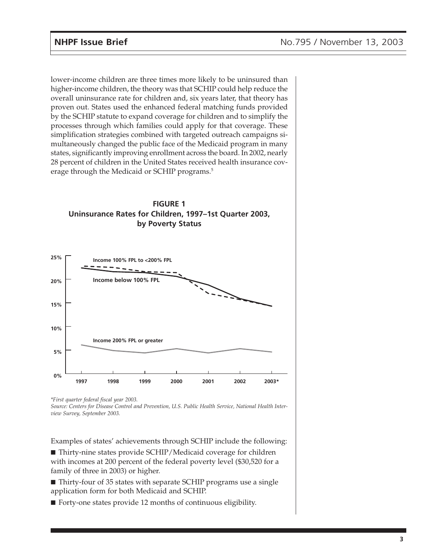lower-income children are three times more likely to be uninsured than higher-income children, the theory was that SCHIP could help reduce the overall uninsurance rate for children and, six years later, that theory has proven out. States used the enhanced federal matching funds provided by the SCHIP statute to expand coverage for children and to simplify the processes through which families could apply for that coverage. These simplification strategies combined with targeted outreach campaigns simultaneously changed the public face of the Medicaid program in many states, significantly improving enrollment across the board. In 2002, nearly 28 percent of children in the United States received health insurance coverage through the Medicaid or SCHIP programs.<sup>5</sup>





*\*First quarter federal fiscal year 2003.*

*Source: Centers for Disease Control and Prevention, U.S. Public Health Service, National Health Interview Survey, September 2003.*

Examples of states' achievements through SCHIP include the following:

■ Thirty-nine states provide SCHIP/Medicaid coverage for children with incomes at 200 percent of the federal poverty level (\$30,520 for a family of three in 2003) or higher.

■ Thirty-four of 35 states with separate SCHIP programs use a single application form for both Medicaid and SCHIP.

■ Forty-one states provide 12 months of continuous eligibility.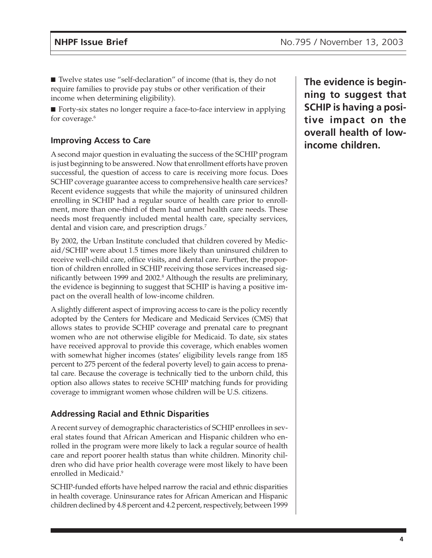■ Twelve states use "self-declaration" of income (that is, they do not require families to provide pay stubs or other verification of their income when determining eligibility).

■ Forty-six states no longer require a face-to-face interview in applying for coverage.<sup>6</sup>

## **Improving Access to Care**

A second major question in evaluating the success of the SCHIP program is just beginning to be answered. Now that enrollment efforts have proven successful, the question of access to care is receiving more focus. Does SCHIP coverage guarantee access to comprehensive health care services? Recent evidence suggests that while the majority of uninsured children enrolling in SCHIP had a regular source of health care prior to enrollment, more than one-third of them had unmet health care needs. These needs most frequently included mental health care, specialty services, dental and vision care, and prescription drugs.<sup>7</sup>

By 2002, the Urban Institute concluded that children covered by Medicaid/SCHIP were about 1.5 times more likely than uninsured children to receive well-child care, office visits, and dental care. Further, the proportion of children enrolled in SCHIP receiving those services increased significantly between 1999 and 2002.<sup>s</sup> Although the results are preliminary, the evidence is beginning to suggest that SCHIP is having a positive impact on the overall health of low-income children.

A slightly different aspect of improving access to care is the policy recently adopted by the Centers for Medicare and Medicaid Services (CMS) that allows states to provide SCHIP coverage and prenatal care to pregnant women who are not otherwise eligible for Medicaid. To date, six states have received approval to provide this coverage, which enables women with somewhat higher incomes (states' eligibility levels range from 185 percent to 275 percent of the federal poverty level) to gain access to prenatal care. Because the coverage is technically tied to the unborn child, this option also allows states to receive SCHIP matching funds for providing coverage to immigrant women whose children will be U.S. citizens.

## **Addressing Racial and Ethnic Disparities**

A recent survey of demographic characteristics of SCHIP enrollees in several states found that African American and Hispanic children who enrolled in the program were more likely to lack a regular source of health care and report poorer health status than white children. Minority children who did have prior health coverage were most likely to have been enrolled in Medicaid.<sup>9</sup>

SCHIP-funded efforts have helped narrow the racial and ethnic disparities in health coverage. Uninsurance rates for African American and Hispanic children declined by 4.8 percent and 4.2 percent, respectively, between 1999

**The evidence is beginning to suggest that SCHIP is having a positive impact on the overall health of lowincome children.**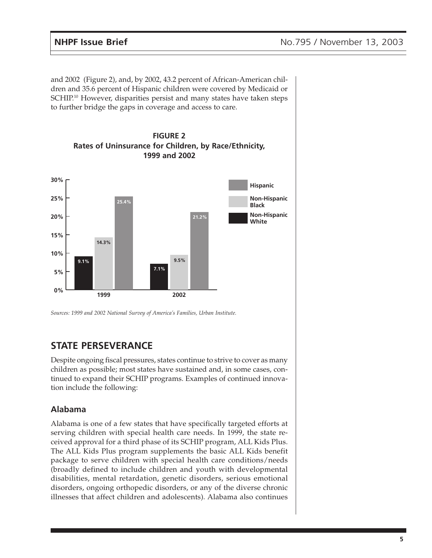and 2002 (Figure 2), and, by 2002, 43.2 percent of African-American children and 35.6 percent of Hispanic children were covered by Medicaid or SCHIP.<sup>10</sup> However, disparities persist and many states have taken steps to further bridge the gaps in coverage and access to care.



*Sources: 1999 and 2002 National Survey of America's Families, Urban Institute.*

# **STATE PERSEVERANCE**

Despite ongoing fiscal pressures, states continue to strive to cover as many children as possible; most states have sustained and, in some cases, continued to expand their SCHIP programs. Examples of continued innovation include the following:

## **Alabama**

Alabama is one of a few states that have specifically targeted efforts at serving children with special health care needs. In 1999, the state received approval for a third phase of its SCHIP program, ALL Kids Plus. The ALL Kids Plus program supplements the basic ALL Kids benefit package to serve children with special health care conditions/needs (broadly defined to include children and youth with developmental disabilities, mental retardation, genetic disorders, serious emotional disorders, ongoing orthopedic disorders, or any of the diverse chronic illnesses that affect children and adolescents). Alabama also continues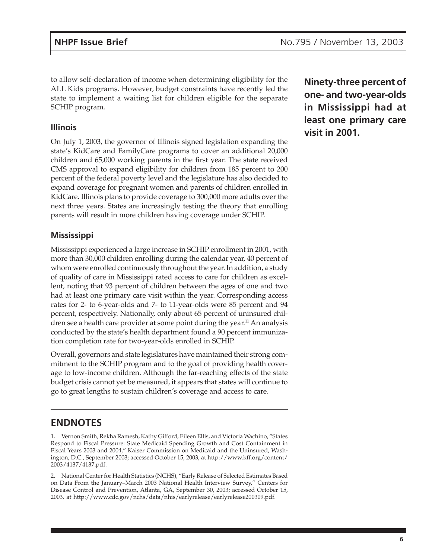to allow self-declaration of income when determining eligibility for the ALL Kids programs. However, budget constraints have recently led the state to implement a waiting list for children eligible for the separate SCHIP program.

### **Illinois**

On July 1, 2003, the governor of Illinois signed legislation expanding the state's KidCare and FamilyCare programs to cover an additional 20,000 children and 65,000 working parents in the first year. The state received CMS approval to expand eligibility for children from 185 percent to 200 percent of the federal poverty level and the legislature has also decided to expand coverage for pregnant women and parents of children enrolled in KidCare. Illinois plans to provide coverage to 300,000 more adults over the next three years. States are increasingly testing the theory that enrolling parents will result in more children having coverage under SCHIP.

## **Mississippi**

Mississippi experienced a large increase in SCHIP enrollment in 2001, with more than 30,000 children enrolling during the calendar year, 40 percent of whom were enrolled continuously throughout the year. In addition, a study of quality of care in Mississippi rated access to care for children as excellent, noting that 93 percent of children between the ages of one and two had at least one primary care visit within the year. Corresponding access rates for 2- to 6-year-olds and 7- to 11-year-olds were 85 percent and 94 percent, respectively. Nationally, only about 65 percent of uninsured children see a health care provider at some point during the year.<sup>11</sup> An analysis conducted by the state's health department found a 90 percent immunization completion rate for two-year-olds enrolled in SCHIP.

Overall, governors and state legislatures have maintained their strong commitment to the SCHIP program and to the goal of providing health coverage to low-income children. Although the far-reaching effects of the state budget crisis cannot yet be measured, it appears that states will continue to go to great lengths to sustain children's coverage and access to care.

# **ENDNOTES**

1. Vernon Smith, Rekha Ramesh, Kathy Gifford, Eileen Ellis, and Victoria Wachino, "States Respond to Fiscal Pressure: State Medicaid Spending Growth and Cost Containment in Fiscal Years 2003 and 2004," Kaiser Commission on Medicaid and the Uninsured, Washington, D.C., September 2003; accessed October 15, 2003, at http://www.kff.org/content/ 2003/4137/4137.pdf.

2. National Center for Health Statistics (NCHS), "Early Release of Selected Estimates Based on Data From the January–March 2003 National Health Interview Survey," Centers for Disease Control and Prevention, Atlanta, GA, September 30, 2003; accessed October 15, 2003, at http://www.cdc.gov/nchs/data/nhis/earlyrelease/earlyrelease200309.pdf.

**Ninety-three percent of one- and two-year-olds in Mississippi had at least one primary care visit in 2001.**